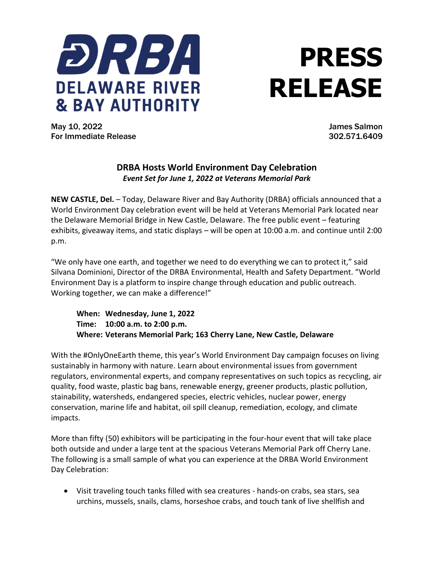

## **PRESS RELEASE**

May 10, 2022 James Salmon For Immediate Release 302.571.6409

## **DRBA Hosts World Environment Day Celebration** *Event Set for June 1, 2022 at Veterans Memorial Park*

**NEW CASTLE, Del.** – Today, Delaware River and Bay Authority (DRBA) officials announced that a World Environment Day celebration event will be held at Veterans Memorial Park located near the Delaware Memorial Bridge in New Castle, Delaware. The free public event – featuring exhibits, giveaway items, and static displays – will be open at 10:00 a.m. and continue until 2:00 p.m.

"We only have one earth, and together we need to do everything we can to protect it," said Silvana Dominioni, Director of the DRBA Environmental, Health and Safety Department. "World Environment Day is a platform to inspire change through education and public outreach. Working together, we can make a difference!"

**When: Wednesday, June 1, 2022 Time: 10:00 a.m. to 2:00 p.m. Where: Veterans Memorial Park; 163 Cherry Lane, New Castle, Delaware**

With the #OnlyOneEarth theme, this year's World Environment Day campaign focuses on living sustainably in harmony with nature. Learn about environmental issues from government regulators, environmental experts, and company representatives on such topics as recycling, air quality, food waste, plastic bag bans, renewable energy, greener products, plastic pollution, stainability, watersheds, endangered species, electric vehicles, nuclear power, energy conservation, marine life and habitat, oil spill cleanup, remediation, ecology, and climate impacts.

More than fifty (50) exhibitors will be participating in the four-hour event that will take place both outside and under a large tent at the spacious Veterans Memorial Park off Cherry Lane. The following is a small sample of what you can experience at the DRBA World Environment Day Celebration:

• Visit traveling touch tanks filled with sea creatures - hands-on crabs, sea stars, sea urchins, mussels, snails, clams, horseshoe crabs, and touch tank of live shellfish and